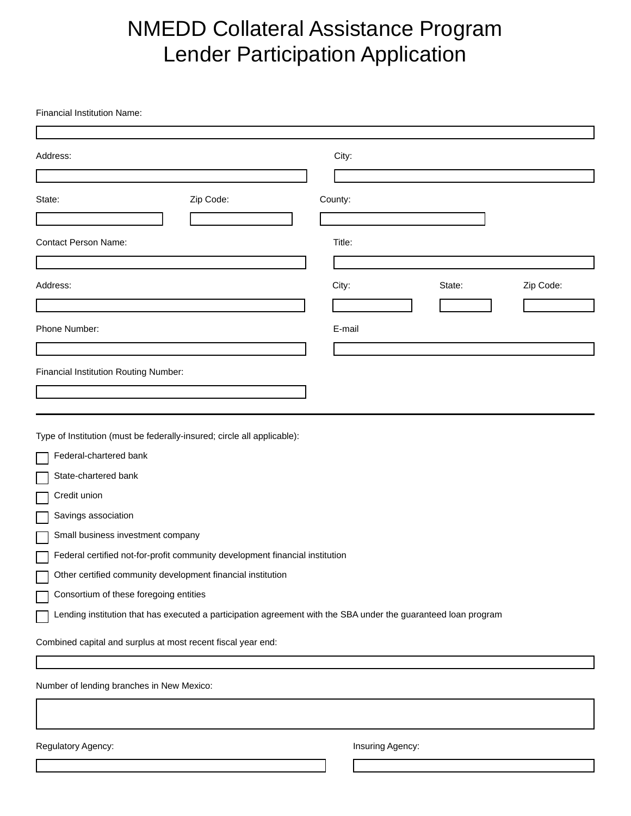## NMEDD Collateral Assistance Program Lender Participation Application

Financial Institution Name:

| Address:                                                                                                       | City:                        |
|----------------------------------------------------------------------------------------------------------------|------------------------------|
|                                                                                                                |                              |
| Zip Code:<br>State:                                                                                            | County:                      |
|                                                                                                                |                              |
| <b>Contact Person Name:</b>                                                                                    | Title:                       |
|                                                                                                                |                              |
| Address:                                                                                                       | City:<br>Zip Code:<br>State: |
|                                                                                                                |                              |
| Phone Number:                                                                                                  | E-mail                       |
|                                                                                                                |                              |
| <b>Financial Institution Routing Number:</b>                                                                   |                              |
| Type of Institution (must be federally-insured; circle all applicable):                                        |                              |
| Federal-chartered bank                                                                                         |                              |
| State-chartered bank                                                                                           |                              |
| Credit union                                                                                                   |                              |
| Savings association                                                                                            |                              |
| Small business investment company                                                                              |                              |
| Federal certified not-for-profit community development financial institution                                   |                              |
| Other certified community development financial institution                                                    |                              |
| Consortium of these foregoing entities                                                                         |                              |
| Lending institution that has executed a participation agreement with the SBA under the guaranteed loan program |                              |
| Combined capital and surplus at most recent fiscal year end:                                                   |                              |
|                                                                                                                |                              |
| Number of lending branches in New Mexico:                                                                      |                              |
|                                                                                                                |                              |

Regulatory Agency: **Insuring Agency: Insuring Agency:**